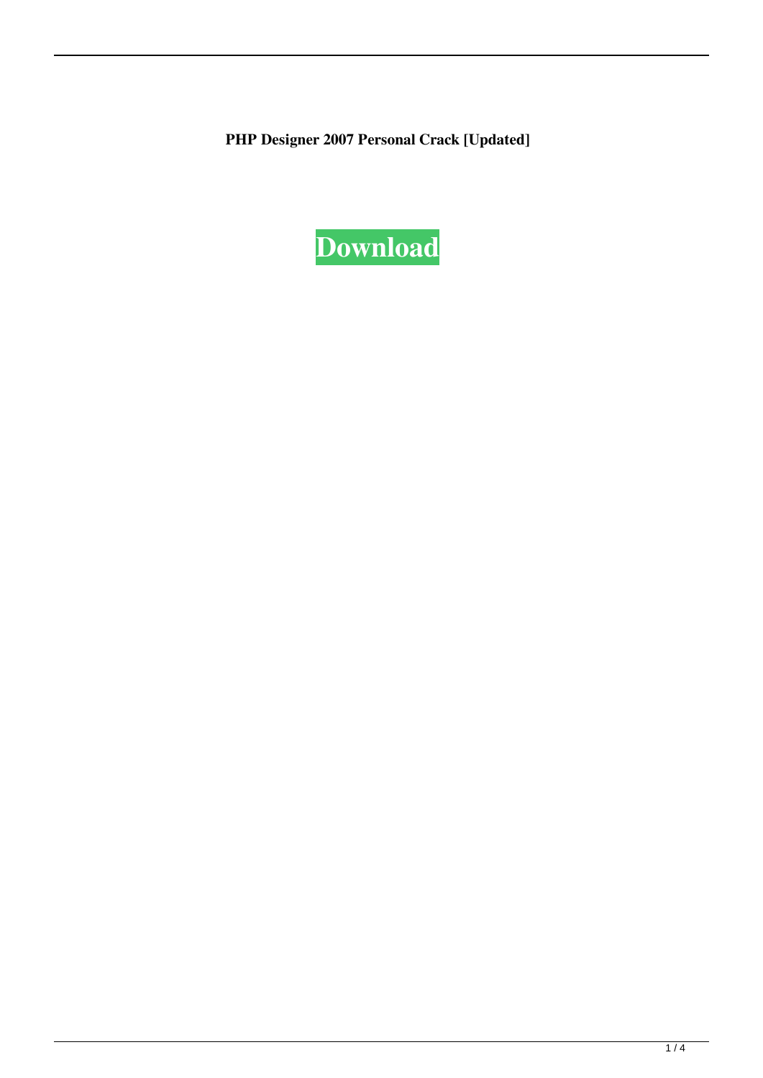**PHP Designer 2007 Personal Crack [Updated]**

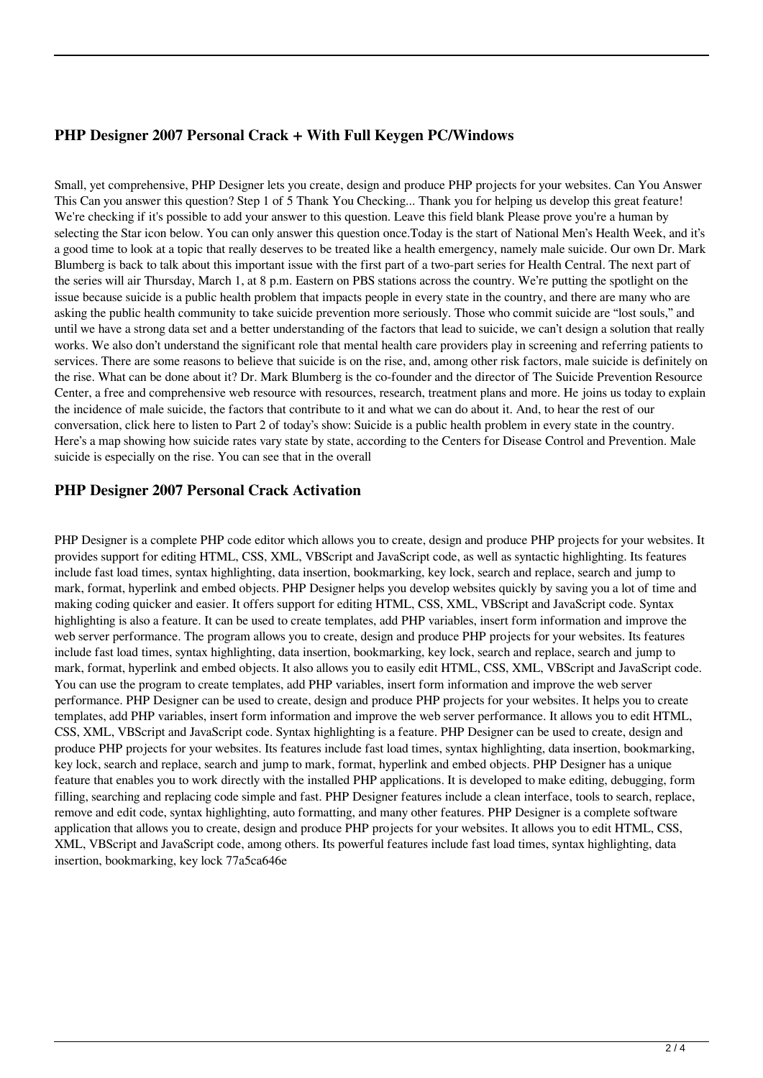## **PHP Designer 2007 Personal Crack + With Full Keygen PC/Windows**

Small, yet comprehensive, PHP Designer lets you create, design and produce PHP projects for your websites. Can You Answer This Can you answer this question? Step 1 of 5 Thank You Checking... Thank you for helping us develop this great feature! We're checking if it's possible to add your answer to this question. Leave this field blank Please prove you're a human by selecting the Star icon below. You can only answer this question once.Today is the start of National Men's Health Week, and it's a good time to look at a topic that really deserves to be treated like a health emergency, namely male suicide. Our own Dr. Mark Blumberg is back to talk about this important issue with the first part of a two-part series for Health Central. The next part of the series will air Thursday, March 1, at 8 p.m. Eastern on PBS stations across the country. We're putting the spotlight on the issue because suicide is a public health problem that impacts people in every state in the country, and there are many who are asking the public health community to take suicide prevention more seriously. Those who commit suicide are "lost souls," and until we have a strong data set and a better understanding of the factors that lead to suicide, we can't design a solution that really works. We also don't understand the significant role that mental health care providers play in screening and referring patients to services. There are some reasons to believe that suicide is on the rise, and, among other risk factors, male suicide is definitely on the rise. What can be done about it? Dr. Mark Blumberg is the co-founder and the director of The Suicide Prevention Resource Center, a free and comprehensive web resource with resources, research, treatment plans and more. He joins us today to explain the incidence of male suicide, the factors that contribute to it and what we can do about it. And, to hear the rest of our conversation, click here to listen to Part 2 of today's show: Suicide is a public health problem in every state in the country. Here's a map showing how suicide rates vary state by state, according to the Centers for Disease Control and Prevention. Male suicide is especially on the rise. You can see that in the overall

### **PHP Designer 2007 Personal Crack Activation**

PHP Designer is a complete PHP code editor which allows you to create, design and produce PHP projects for your websites. It provides support for editing HTML, CSS, XML, VBScript and JavaScript code, as well as syntactic highlighting. Its features include fast load times, syntax highlighting, data insertion, bookmarking, key lock, search and replace, search and jump to mark, format, hyperlink and embed objects. PHP Designer helps you develop websites quickly by saving you a lot of time and making coding quicker and easier. It offers support for editing HTML, CSS, XML, VBScript and JavaScript code. Syntax highlighting is also a feature. It can be used to create templates, add PHP variables, insert form information and improve the web server performance. The program allows you to create, design and produce PHP projects for your websites. Its features include fast load times, syntax highlighting, data insertion, bookmarking, key lock, search and replace, search and jump to mark, format, hyperlink and embed objects. It also allows you to easily edit HTML, CSS, XML, VBScript and JavaScript code. You can use the program to create templates, add PHP variables, insert form information and improve the web server performance. PHP Designer can be used to create, design and produce PHP projects for your websites. It helps you to create templates, add PHP variables, insert form information and improve the web server performance. It allows you to edit HTML, CSS, XML, VBScript and JavaScript code. Syntax highlighting is a feature. PHP Designer can be used to create, design and produce PHP projects for your websites. Its features include fast load times, syntax highlighting, data insertion, bookmarking, key lock, search and replace, search and jump to mark, format, hyperlink and embed objects. PHP Designer has a unique feature that enables you to work directly with the installed PHP applications. It is developed to make editing, debugging, form filling, searching and replacing code simple and fast. PHP Designer features include a clean interface, tools to search, replace, remove and edit code, syntax highlighting, auto formatting, and many other features. PHP Designer is a complete software application that allows you to create, design and produce PHP projects for your websites. It allows you to edit HTML, CSS, XML, VBScript and JavaScript code, among others. Its powerful features include fast load times, syntax highlighting, data insertion, bookmarking, key lock 77a5ca646e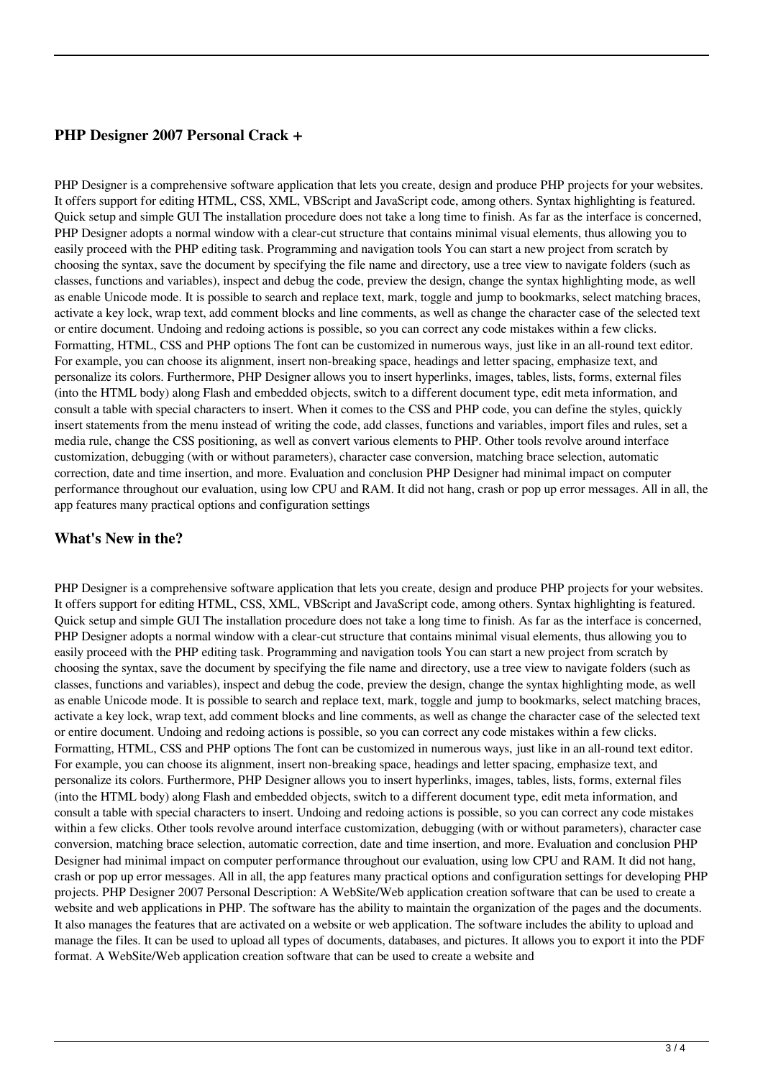#### **PHP Designer 2007 Personal Crack +**

PHP Designer is a comprehensive software application that lets you create, design and produce PHP projects for your websites. It offers support for editing HTML, CSS, XML, VBScript and JavaScript code, among others. Syntax highlighting is featured. Quick setup and simple GUI The installation procedure does not take a long time to finish. As far as the interface is concerned, PHP Designer adopts a normal window with a clear-cut structure that contains minimal visual elements, thus allowing you to easily proceed with the PHP editing task. Programming and navigation tools You can start a new project from scratch by choosing the syntax, save the document by specifying the file name and directory, use a tree view to navigate folders (such as classes, functions and variables), inspect and debug the code, preview the design, change the syntax highlighting mode, as well as enable Unicode mode. It is possible to search and replace text, mark, toggle and jump to bookmarks, select matching braces, activate a key lock, wrap text, add comment blocks and line comments, as well as change the character case of the selected text or entire document. Undoing and redoing actions is possible, so you can correct any code mistakes within a few clicks. Formatting, HTML, CSS and PHP options The font can be customized in numerous ways, just like in an all-round text editor. For example, you can choose its alignment, insert non-breaking space, headings and letter spacing, emphasize text, and personalize its colors. Furthermore, PHP Designer allows you to insert hyperlinks, images, tables, lists, forms, external files (into the HTML body) along Flash and embedded objects, switch to a different document type, edit meta information, and consult a table with special characters to insert. When it comes to the CSS and PHP code, you can define the styles, quickly insert statements from the menu instead of writing the code, add classes, functions and variables, import files and rules, set a media rule, change the CSS positioning, as well as convert various elements to PHP. Other tools revolve around interface customization, debugging (with or without parameters), character case conversion, matching brace selection, automatic correction, date and time insertion, and more. Evaluation and conclusion PHP Designer had minimal impact on computer performance throughout our evaluation, using low CPU and RAM. It did not hang, crash or pop up error messages. All in all, the app features many practical options and configuration settings

### **What's New in the?**

PHP Designer is a comprehensive software application that lets you create, design and produce PHP projects for your websites. It offers support for editing HTML, CSS, XML, VBScript and JavaScript code, among others. Syntax highlighting is featured. Quick setup and simple GUI The installation procedure does not take a long time to finish. As far as the interface is concerned, PHP Designer adopts a normal window with a clear-cut structure that contains minimal visual elements, thus allowing you to easily proceed with the PHP editing task. Programming and navigation tools You can start a new project from scratch by choosing the syntax, save the document by specifying the file name and directory, use a tree view to navigate folders (such as classes, functions and variables), inspect and debug the code, preview the design, change the syntax highlighting mode, as well as enable Unicode mode. It is possible to search and replace text, mark, toggle and jump to bookmarks, select matching braces, activate a key lock, wrap text, add comment blocks and line comments, as well as change the character case of the selected text or entire document. Undoing and redoing actions is possible, so you can correct any code mistakes within a few clicks. Formatting, HTML, CSS and PHP options The font can be customized in numerous ways, just like in an all-round text editor. For example, you can choose its alignment, insert non-breaking space, headings and letter spacing, emphasize text, and personalize its colors. Furthermore, PHP Designer allows you to insert hyperlinks, images, tables, lists, forms, external files (into the HTML body) along Flash and embedded objects, switch to a different document type, edit meta information, and consult a table with special characters to insert. Undoing and redoing actions is possible, so you can correct any code mistakes within a few clicks. Other tools revolve around interface customization, debugging (with or without parameters), character case conversion, matching brace selection, automatic correction, date and time insertion, and more. Evaluation and conclusion PHP Designer had minimal impact on computer performance throughout our evaluation, using low CPU and RAM. It did not hang, crash or pop up error messages. All in all, the app features many practical options and configuration settings for developing PHP projects. PHP Designer 2007 Personal Description: A WebSite/Web application creation software that can be used to create a website and web applications in PHP. The software has the ability to maintain the organization of the pages and the documents. It also manages the features that are activated on a website or web application. The software includes the ability to upload and manage the files. It can be used to upload all types of documents, databases, and pictures. It allows you to export it into the PDF format. A WebSite/Web application creation software that can be used to create a website and